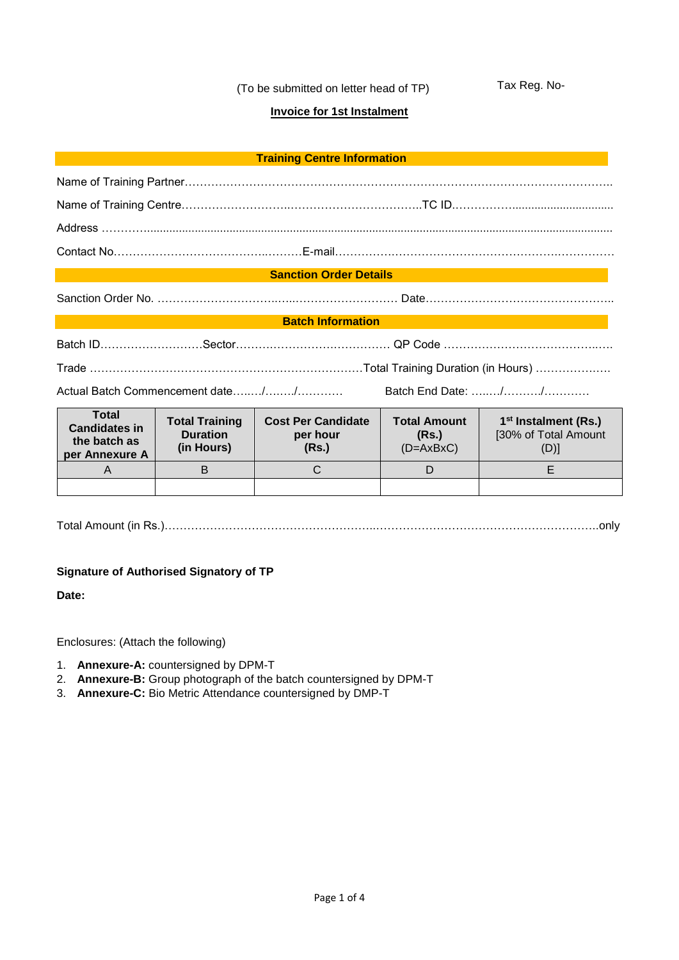(To be submitted on letter head of TP)

Tax Reg. No-

## **Invoice for 1st Instalment**

| <b>Training Centre Information</b> |  |  |
|------------------------------------|--|--|
|------------------------------------|--|--|

#### **Sanction Order Details**

Sanction Order No. …………………………..…..……………………… Date…………………………………………..

### **Batch Information**

Actual Batch Commencement date…...../……../………… Batch End Date: ……../………./…………

| Total<br><b>Candidates in</b><br>the batch as<br>per Annexure A | <b>Total Training</b><br><b>Duration</b><br>(in Hours) | <b>Cost Per Candidate</b><br>per hour<br>(Rs.) | <b>Total Amount</b><br>(Rs.)<br>$(D=AXBxC)$ | 1 <sup>st</sup> Instalment (Rs.)<br>[30% of Total Amount<br>$(D)$ ] |
|-----------------------------------------------------------------|--------------------------------------------------------|------------------------------------------------|---------------------------------------------|---------------------------------------------------------------------|
| Α                                                               |                                                        | С                                              |                                             |                                                                     |
|                                                                 |                                                        |                                                |                                             |                                                                     |

Total Amount (in Rs.)………………………………………………..…………………………………………………..only

## **Signature of Authorised Signatory of TP**

**Date:**

Enclosures: (Attach the following)

- 1. **Annexure-A:** countersigned by DPM-T
- 2. **Annexure-B:** Group photograph of the batch countersigned by DPM-T
- 3. **Annexure-C:** Bio Metric Attendance countersigned by DMP-T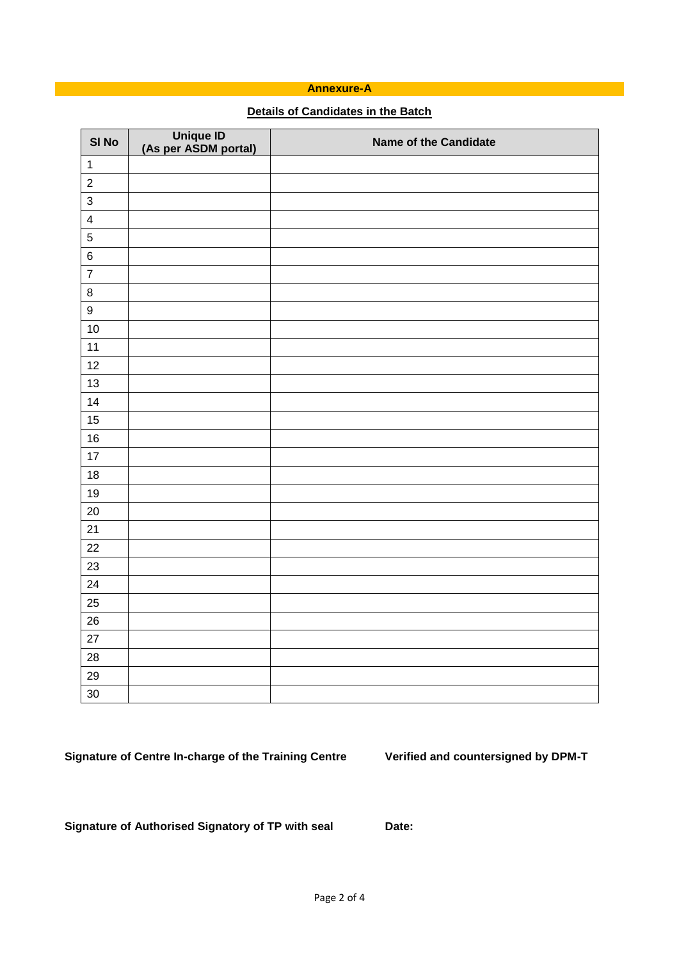## **Annexure-A**

# **Details of Candidates in the Batch**

| SI No                   | Unique ID<br>(As per ASDM portal) | <b>Name of the Candidate</b> |
|-------------------------|-----------------------------------|------------------------------|
| $\mathbf{1}$            |                                   |                              |
| $\boldsymbol{2}$        |                                   |                              |
| $\overline{3}$          |                                   |                              |
| $\overline{\mathbf{4}}$ |                                   |                              |
| $\overline{5}$          |                                   |                              |
| $\,6$                   |                                   |                              |
| $\overline{\mathbf{7}}$ |                                   |                              |
| $\bf8$                  |                                   |                              |
| $\boldsymbol{9}$        |                                   |                              |
| 10                      |                                   |                              |
| 11                      |                                   |                              |
| 12                      |                                   |                              |
| 13                      |                                   |                              |
| 14                      |                                   |                              |
| 15                      |                                   |                              |
| 16                      |                                   |                              |
| 17                      |                                   |                              |
| 18                      |                                   |                              |
| 19                      |                                   |                              |
| 20                      |                                   |                              |
| 21                      |                                   |                              |
| 22                      |                                   |                              |
| 23                      |                                   |                              |
| 24                      |                                   |                              |
| 25                      |                                   |                              |
| 26                      |                                   |                              |
| 27                      |                                   |                              |
| 28                      |                                   |                              |
| 29                      |                                   |                              |
| 30                      |                                   |                              |

**Signature of Centre In-charge of the Training Centre Verified and countersigned by DPM-T**

**Signature of Authorised Signatory of TP with seal Date:**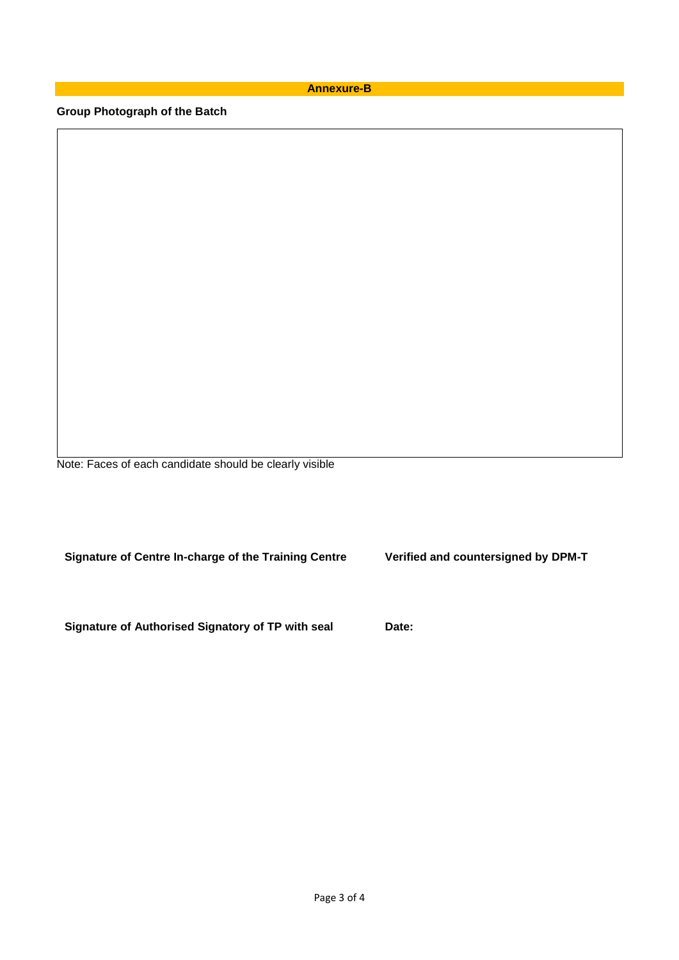**Annexure-B**

**Group Photograph of the Batch** 

Note: Faces of each candidate should be clearly visible

**Signature of Centre In-charge of the Training Centre Verified and countersigned by DPM-T**

**Signature of Authorised Signatory of TP with seal Date:**